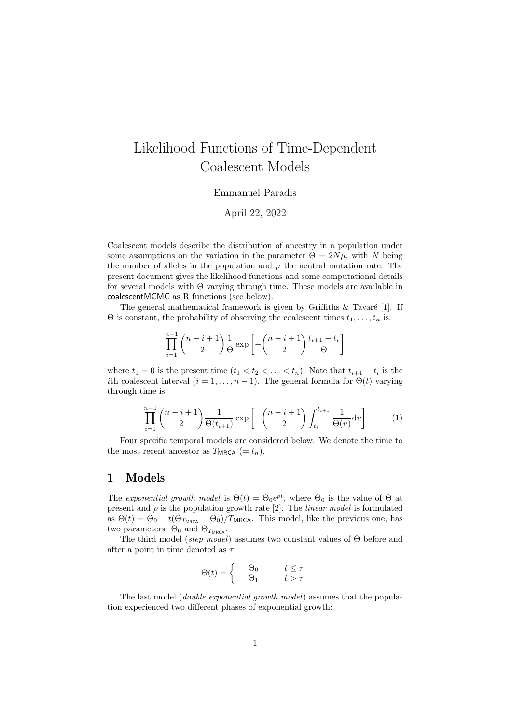# Likelihood Functions of Time-Dependent Coalescent Models

#### Emmanuel Paradis

April 22, 2022

Coalescent models describe the distribution of ancestry in a population under some assumptions on the variation in the parameter  $\Theta = 2N\mu$ , with N being the number of alleles in the population and  $\mu$  the neutral mutation rate. The present document gives the likelihood functions and some computational details for several models with Θ varying through time. These models are available in coalescentMCMC as R functions (see below).

The general mathematical framework is given by Griffiths  $\&$  Tavaré [1]. If  $\Theta$  is constant, the probability of observing the coalescent times  $t_1, \ldots, t_n$  is:

$$
\prod_{i=1}^{n-1} {n-i+1 \choose 2} \frac{1}{\Theta} \exp\left[-{n-i+1 \choose 2} \frac{t_{i+1}-t_i}{\Theta}\right]
$$

where  $t_1 = 0$  is the present time  $(t_1 < t_2 < \ldots < t_n)$ . Note that  $t_{i+1} - t_i$  is the ith coalescent interval  $(i = 1, \ldots, n-1)$ . The general formula for  $\Theta(t)$  varying through time is:

$$
\prod_{i=1}^{n-1} {n-i+1 \choose 2} \frac{1}{\Theta(t_{i+1})} \exp\left[ -{n-i+1 \choose 2} \int_{t_i}^{t_{i+1}} \frac{1}{\Theta(u)} du \right]
$$
(1)

Four specific temporal models are considered below. We denote the time to the most recent ancestor as  $T_{MRCA}$  (=  $t_n$ ).

### 1 Models

The exponential growth model is  $\Theta(t) = \Theta_0 e^{\rho t}$ , where  $\Theta_0$  is the value of  $\Theta$  at present and  $\rho$  is the population growth rate [2]. The *linear model* is formulated as  $\Theta(t) = \Theta_0 + t(\Theta_{T_{MRCA}} - \Theta_0)/T_{MRCA}$ . This model, like the previous one, has two parameters:  $\Theta_0$  and  $\Theta_{T_{\text{MRCA}}}$ .

The third model (step model) assumes two constant values of  $\Theta$  before and after a point in time denoted as  $\tau$ :

$$
\Theta(t) = \begin{cases} \Theta_0 & t \le \tau \\ \Theta_1 & t > \tau \end{cases}
$$

The last model (*double exponential growth model*) assumes that the population experienced two different phases of exponential growth: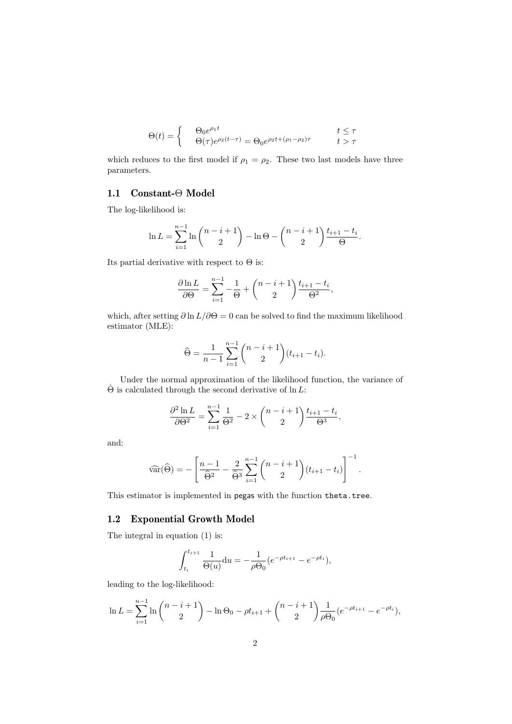$$
\Theta(t) = \begin{cases} \Theta_0 e^{\rho_1 t} & t \le \tau \\ \Theta(\tau) e^{\rho_2 (t-\tau)} = \Theta_0 e^{\rho_2 t + (\rho_1 - \rho_2)\tau} & t > \tau \end{cases}
$$

which reduces to the first model if  $\rho_1 = \rho_2$ . These two last models have three parameters.

### 1.1 Constant-Θ Model

The log-likelihood is:

$$
\ln L = \sum_{i=1}^{n-1} \ln \binom{n-i+1}{2} - \ln \Theta - \binom{n-i+1}{2} \frac{t_{i+1} - t_i}{\Theta}.
$$

Its partial derivative with respect to  $\Theta$  is:

$$
\frac{\partial \ln L}{\partial \Theta} = \sum_{i=1}^{n-1} -\frac{1}{\Theta} + \binom{n-i+1}{2} \frac{t_{i+1} - t_i}{\Theta^2},
$$

which, after setting  $\partial \ln L/\partial \Theta = 0$  can be solved to find the maximum likelihood estimator (MLE):

$$
\widehat{\Theta} = \frac{1}{n-1} \sum_{i=1}^{n-1} {n-i+1 \choose 2} (t_{i+1} - t_i).
$$

Under the normal approximation of the likelihood function, the variance of  $\hat{\Theta}$  is calculated through the second derivative of ln L:

$$
\frac{\partial^2 \ln L}{\partial \Theta^2} = \sum_{i=1}^{n-1} \frac{1}{\Theta^2} - 2 \times \binom{n-i+1}{2} \frac{t_{i+1} - t_i}{\Theta^3},
$$

and:

$$
\widehat{\text{var}}(\widehat{\Theta}) = -\left[\frac{n-1}{\widehat{\Theta}^2} - \frac{2}{\widehat{\Theta}^3} \sum_{i=1}^{n-1} {n-i+1 \choose 2} (t_{i+1} - t_i)\right]^{-1}.
$$

This estimator is implemented in pegas with the function theta.tree.

#### 1.2 Exponential Growth Model

The integral in equation (1) is:

$$
\int_{t_i}^{t_{i+1}} \frac{1}{\Theta(u)} \mathrm{d}u = -\frac{1}{\rho \Theta_0} (e^{-\rho t_{i+1}} - e^{-\rho t_i}),
$$

leading to the log-likelihood:

$$
\ln L = \sum_{i=1}^{n-1} \ln \binom{n-i+1}{2} - \ln \Theta_0 - \rho t_{i+1} + \binom{n-i+1}{2} \frac{1}{\rho \Theta_0} (e^{-\rho t_{i+1}} - e^{-\rho t_i}),
$$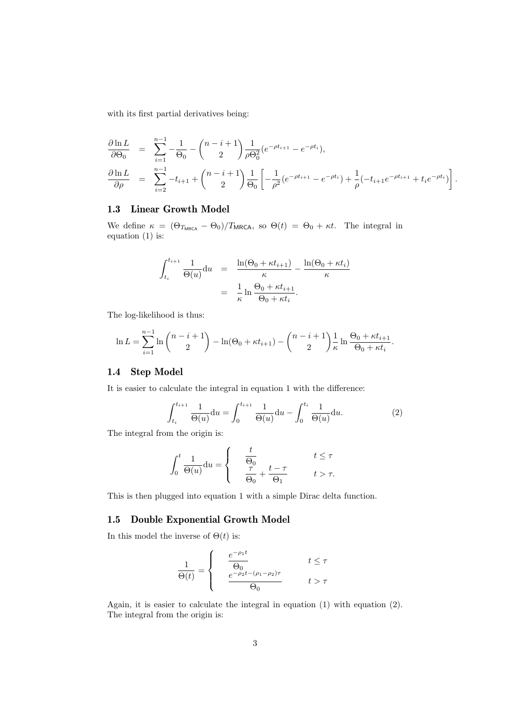with its first partial derivatives being:

$$
\frac{\partial \ln L}{\partial \Theta_0} = \sum_{i=1}^{n-1} -\frac{1}{\Theta_0} - {n-i+1 \choose 2} \frac{1}{\rho \Theta_0^2} (e^{-\rho t_{i+1}} - e^{-\rho t_i}),
$$
  
\n
$$
\frac{\partial \ln L}{\partial \rho} = \sum_{i=2}^{n-1} -t_{i+1} + {n-i+1 \choose 2} \frac{1}{\Theta_0} \left[ -\frac{1}{\rho^2} (e^{-\rho t_{i+1}} - e^{-\rho t_i}) + \frac{1}{\rho} (-t_{i+1} e^{-\rho t_{i+1}} + t_i e^{-\rho t_i}) \right].
$$

#### 1.3 Linear Growth Model

We define  $\kappa = (\Theta_{T_{MRCA}} - \Theta_0)/T_{MRCA}$ , so  $\Theta(t) = \Theta_0 + \kappa t$ . The integral in equation (1) is:

$$
\int_{t_i}^{t_{i+1}} \frac{1}{\Theta(u)} du = \frac{\ln(\Theta_0 + \kappa t_{i+1})}{\kappa} - \frac{\ln(\Theta_0 + \kappa t_i)}{\kappa}
$$

$$
= \frac{1}{\kappa} \ln \frac{\Theta_0 + \kappa t_{i+1}}{\Theta_0 + \kappa t_i}.
$$

The log-likelihood is thus:

$$
\ln L = \sum_{i=1}^{n-1} \ln \binom{n-i+1}{2} - \ln(\Theta_0 + \kappa t_{i+1}) - \binom{n-i+1}{2} \frac{1}{\kappa} \ln \frac{\Theta_0 + \kappa t_{i+1}}{\Theta_0 + \kappa t_i}.
$$

#### 1.4 Step Model

It is easier to calculate the integral in equation 1 with the difference:

$$
\int_{t_i}^{t_{i+1}} \frac{1}{\Theta(u)} du = \int_0^{t_{i+1}} \frac{1}{\Theta(u)} du - \int_0^{t_i} \frac{1}{\Theta(u)} du.
$$
 (2)

The integral from the origin is:

$$
\int_0^t \frac{1}{\Theta(u)} du = \begin{cases} & \frac{t}{\Theta_0} \\ & \frac{\tau}{\Theta_0} + \frac{t - \tau}{\Theta_1} \\ & t > \tau. \end{cases} \quad t \leq \tau
$$

This is then plugged into equation 1 with a simple Dirac delta function.

#### 1.5 Double Exponential Growth Model

In this model the inverse of  $\Theta(t)$  is:

$$
\frac{1}{\Theta(t)} = \begin{cases} \n\frac{e^{-\rho_1 t}}{\Theta_0} & t \le \tau \\ \n\frac{e^{-\rho_2 t - (\rho_1 - \rho_2)\tau}}{\Theta_0} & t > \tau \n\end{cases}
$$

Again, it is easier to calculate the integral in equation (1) with equation (2). The integral from the origin is: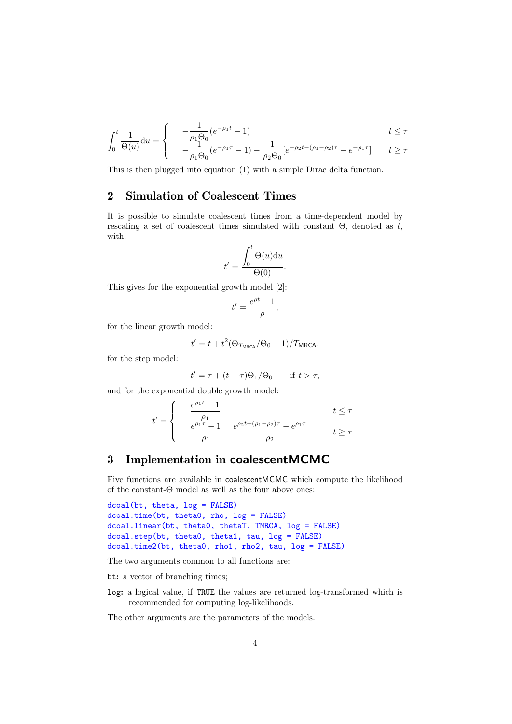$$
\int_0^t \frac{1}{\Theta(u)} du = \begin{cases}\n-\frac{1}{\rho_1 \Theta_0} (e^{-\rho_1 t} - 1) & t \le \tau \\
-\frac{1}{\rho_1 \Theta_0} (e^{-\rho_1 \tau} - 1) - \frac{1}{\rho_2 \Theta_0} [e^{-\rho_2 t - (\rho_1 - \rho_2) \tau} - e^{-\rho_1 \tau}] & t \ge \tau\n\end{cases}
$$

This is then plugged into equation (1) with a simple Dirac delta function.

## 2 Simulation of Coalescent Times

It is possible to simulate coalescent times from a time-dependent model by rescaling a set of coalescent times simulated with constant  $\Theta$ , denoted as t, with:

$$
t' = \frac{\int_0^t \Theta(u) \mathrm{d}u}{\Theta(0)}.
$$

This gives for the exponential growth model [2]:

$$
t' = \frac{e^{\rho t} - 1}{\rho},
$$

for the linear growth model:

$$
t' = t + t^2 (\Theta_{T_{\text{MRCA}}}/\Theta_0 - 1)/T_{\text{MRCA}},
$$

for the step model:

$$
t' = \tau + (t - \tau)\Theta_1/\Theta_0 \quad \text{if } t > \tau,
$$

and for the exponential double growth model:

$$
t' = \begin{cases} \n\frac{e^{\rho_1 t} - 1}{\rho_1} & t \leq \tau \\ \n\frac{e^{\rho_1 \tau} - 1}{\rho_1} + \frac{e^{\rho_2 t + (\rho_1 - \rho_2) \tau} - e^{\rho_1 \tau}}{\rho_2} & t \geq \tau \n\end{cases}
$$

# 3 Implementation in coalescentMCMC

Five functions are available in coalescentMCMC which compute the likelihood of the constant-Θ model as well as the four above ones:

```
dcoal(bt, theta, log = FALSE)
dcoal.time(bt, theta0, rho, log = FALSE)
dcoal.linear(bt, theta0, thetaT, TMRCA, log = FALSE)
dcoal.step(bt, theta0, theta1, tau, log = FALSE)
dcoal.time2(bt, theta0, rho1, rho2, tau, log = FALSE)
```
The two arguments common to all functions are:

bt: a vector of branching times;

log: a logical value, if TRUE the values are returned log-transformed which is recommended for computing log-likelihoods.

The other arguments are the parameters of the models.